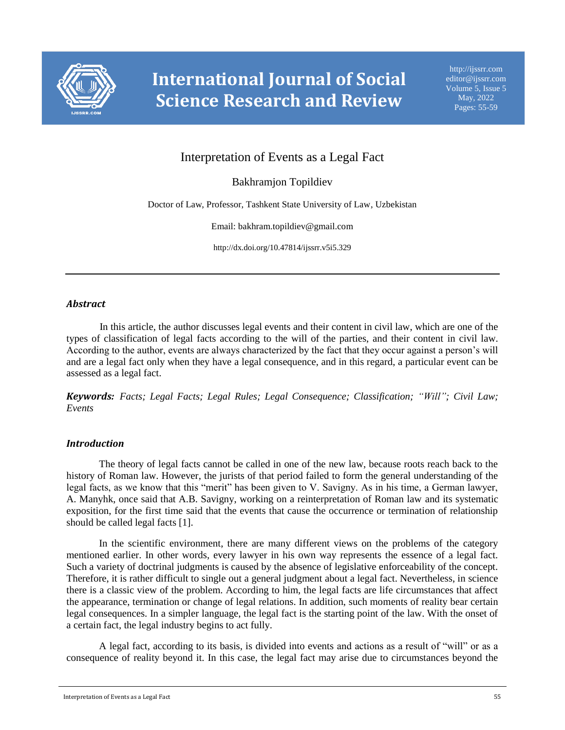

# Interpretation of Events as a Legal Fact

Bakhramjon Topildiev

Doctor of Law, Professor, Tashkent State University of Law, Uzbekistan

Email: bakhram.topildiev@gmail.com

http://dx.doi.org/10.47814/ijssrr.v5i5.329

# *Abstract*

In this article, the author discusses legal events and their content in civil law, which are one of the types of classification of legal facts according to the will of the parties, and their content in civil law. According to the author, events are always characterized by the fact that they occur against a person's will and are a legal fact only when they have a legal consequence, and in this regard, a particular event can be assessed as a legal fact.

*Keywords: Facts; Legal Facts; Legal Rules; Legal Consequence; Classification; "Will"; Civil Law; Events*

# *Introduction*

The theory of legal facts cannot be called in one of the new law, because roots reach back to the history of Roman law. However, the jurists of that period failed to form the general understanding of the legal facts, as we know that this "merit" has been given to V. Savigny. As in his time, a German lawyer, A. Manyhk, once said that A.B. Savigny, working on a reinterpretation of Roman law and its systematic exposition, for the first time said that the events that cause the occurrence or termination of relationship should be called legal facts [1].

In the scientific environment, there are many different views on the problems of the category mentioned earlier. In other words, every lawyer in his own way represents the essence of a legal fact. Such a variety of doctrinal judgments is caused by the absence of legislative enforceability of the concept. Therefore, it is rather difficult to single out a general judgment about a legal fact. Nevertheless, in science there is a classic view of the problem. According to him, the legal facts are life circumstances that affect the appearance, termination or change of legal relations. In addition, such moments of reality bear certain legal consequences. In a simpler language, the legal fact is the starting point of the law. With the onset of a certain fact, the legal industry begins to act fully.

A legal fact, according to its basis, is divided into events and actions as a result of "will" or as a consequence of reality beyond it. In this case, the legal fact may arise due to circumstances beyond the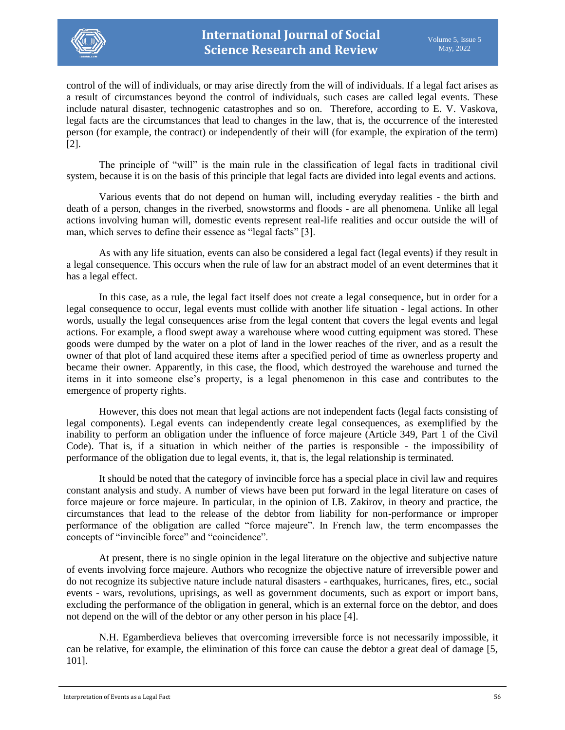

control of the will of individuals, or may arise directly from the will of individuals. If a legal fact arises as a result of circumstances beyond the control of individuals, such cases are called legal events. These include natural disaster, technogenic catastrophes and so on. Therefore, according to E. V. Vaskova, legal facts are the circumstances that lead to changes in the law, that is, the occurrence of the interested person (for example, the contract) or independently of their will (for example, the expiration of the term) [2].

The principle of "will" is the main rule in the classification of legal facts in traditional civil system, because it is on the basis of this principle that legal facts are divided into legal events and actions.

Various events that do not depend on human will, including everyday realities - the birth and death of a person, changes in the riverbed, snowstorms and floods - are all phenomena. Unlike all legal actions involving human will, domestic events represent real-life realities and occur outside the will of man, which serves to define their essence as "legal facts" [3].

As with any life situation, events can also be considered a legal fact (legal events) if they result in a legal consequence. This occurs when the rule of law for an abstract model of an event determines that it has a legal effect.

In this case, as a rule, the legal fact itself does not create a legal consequence, but in order for a legal consequence to occur, legal events must collide with another life situation - legal actions. In other words, usually the legal consequences arise from the legal content that covers the legal events and legal actions. For example, a flood swept away a warehouse where wood cutting equipment was stored. These goods were dumped by the water on a plot of land in the lower reaches of the river, and as a result the owner of that plot of land acquired these items after a specified period of time as ownerless property and became their owner. Apparently, in this case, the flood, which destroyed the warehouse and turned the items in it into someone else's property, is a legal phenomenon in this case and contributes to the emergence of property rights.

However, this does not mean that legal actions are not independent facts (legal facts consisting of legal components). Legal events can independently create legal consequences, as exemplified by the inability to perform an obligation under the influence of force majeure (Article 349, Part 1 of the Civil Code). That is, if a situation in which neither of the parties is responsible - the impossibility of performance of the obligation due to legal events, it, that is, the legal relationship is terminated.

It should be noted that the category of invincible force has a special place in civil law and requires constant analysis and study. A number of views have been put forward in the legal literature on cases of force majeure or force majeure. In particular, in the opinion of I.B. Zakirov, in theory and practice, the circumstances that lead to the release of the debtor from liability for non-performance or improper performance of the obligation are called "force majeure". In French law, the term encompasses the concepts of "invincible force" and "coincidence".

At present, there is no single opinion in the legal literature on the objective and subjective nature of events involving force majeure. Authors who recognize the objective nature of irreversible power and do not recognize its subjective nature include natural disasters - earthquakes, hurricanes, fires, etc., social events - wars, revolutions, uprisings, as well as government documents, such as export or import bans, excluding the performance of the obligation in general, which is an external force on the debtor, and does not depend on the will of the debtor or any other person in his place [4].

N.H. Egamberdieva believes that overcoming irreversible force is not necessarily impossible, it can be relative, for example, the elimination of this force can cause the debtor a great deal of damage [5, 101].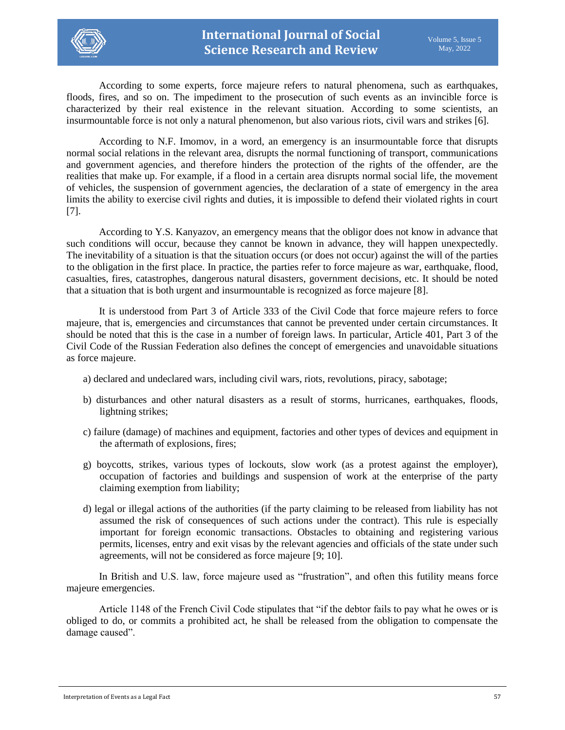

According to some experts, force majeure refers to natural phenomena, such as earthquakes, floods, fires, and so on. The impediment to the prosecution of such events as an invincible force is characterized by their real existence in the relevant situation. According to some scientists, an insurmountable force is not only a natural phenomenon, but also various riots, civil wars and strikes [6].

According to N.F. Imomov, in a word, an emergency is an insurmountable force that disrupts normal social relations in the relevant area, disrupts the normal functioning of transport, communications and government agencies, and therefore hinders the protection of the rights of the offender, are the realities that make up. For example, if a flood in a certain area disrupts normal social life, the movement of vehicles, the suspension of government agencies, the declaration of a state of emergency in the area limits the ability to exercise civil rights and duties, it is impossible to defend their violated rights in court [7].

According to Y.S. Kanyazov, an emergency means that the obligor does not know in advance that such conditions will occur, because they cannot be known in advance, they will happen unexpectedly. The inevitability of a situation is that the situation occurs (or does not occur) against the will of the parties to the obligation in the first place. In practice, the parties refer to force majeure as war, earthquake, flood, casualties, fires, catastrophes, dangerous natural disasters, government decisions, etc. It should be noted that a situation that is both urgent and insurmountable is recognized as force majeure [8].

It is understood from Part 3 of Article 333 of the Civil Code that force majeure refers to force majeure, that is, emergencies and circumstances that cannot be prevented under certain circumstances. It should be noted that this is the case in a number of foreign laws. In particular, Article 401, Part 3 of the Civil Code of the Russian Federation also defines the concept of emergencies and unavoidable situations as force majeure.

- a) declared and undeclared wars, including civil wars, riots, revolutions, piracy, sabotage;
- b) disturbances and other natural disasters as a result of storms, hurricanes, earthquakes, floods, lightning strikes;
- c) failure (damage) of machines and equipment, factories and other types of devices and equipment in the aftermath of explosions, fires;
- g) boycotts, strikes, various types of lockouts, slow work (as a protest against the employer), occupation of factories and buildings and suspension of work at the enterprise of the party claiming exemption from liability;
- d) legal or illegal actions of the authorities (if the party claiming to be released from liability has not assumed the risk of consequences of such actions under the contract). This rule is especially important for foreign economic transactions. Obstacles to obtaining and registering various permits, licenses, entry and exit visas by the relevant agencies and officials of the state under such agreements, will not be considered as force majeure [9; 10].

In British and U.S. law, force majeure used as "frustration", and often this futility means force majeure emergencies.

Article 1148 of the French Civil Code stipulates that "if the debtor fails to pay what he owes or is obliged to do, or commits a prohibited act, he shall be released from the obligation to compensate the damage caused".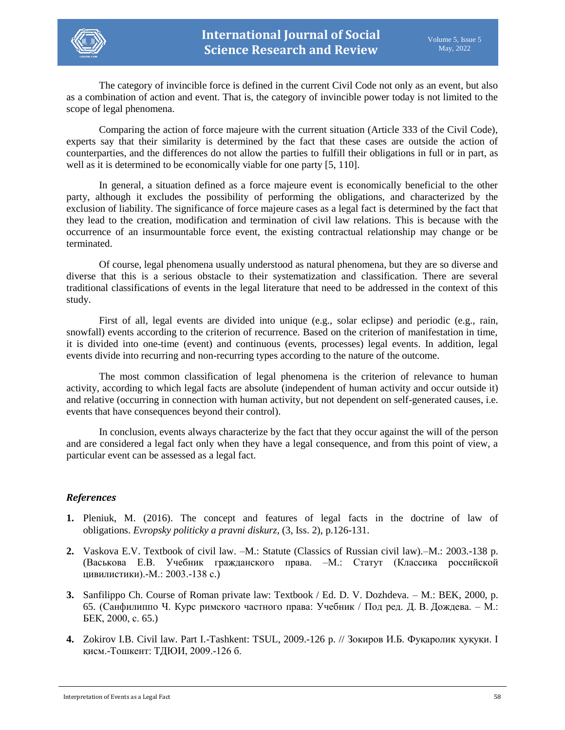

The category of invincible force is defined in the current Civil Code not only as an event, but also as a combination of action and event. That is, the category of invincible power today is not limited to the scope of legal phenomena.

Comparing the action of force majeure with the current situation (Article 333 of the Civil Code), experts say that their similarity is determined by the fact that these cases are outside the action of counterparties, and the differences do not allow the parties to fulfill their obligations in full or in part, as well as it is determined to be economically viable for one party [5, 110].

In general, a situation defined as a force majeure event is economically beneficial to the other party, although it excludes the possibility of performing the obligations, and characterized by the exclusion of liability. The significance of force majeure cases as a legal fact is determined by the fact that they lead to the creation, modification and termination of civil law relations. This is because with the occurrence of an insurmountable force event, the existing contractual relationship may change or be terminated.

Of course, legal phenomena usually understood as natural phenomena, but they are so diverse and diverse that this is a serious obstacle to their systematization and classification. There are several traditional classifications of events in the legal literature that need to be addressed in the context of this study.

First of all, legal events are divided into unique (e.g., solar eclipse) and periodic (e.g., rain, snowfall) events according to the criterion of recurrence. Based on the criterion of manifestation in time, it is divided into one-time (event) and continuous (events, processes) legal events. In addition, legal events divide into recurring and non-recurring types according to the nature of the outcome.

The most common classification of legal phenomena is the criterion of relevance to human activity, according to which legal facts are absolute (independent of human activity and occur outside it) and relative (occurring in connection with human activity, but not dependent on self-generated causes, i.e. events that have consequences beyond their control).

In conclusion, events always characterize by the fact that they occur against the will of the person and are considered a legal fact only when they have a legal consequence, and from this point of view, a particular event can be assessed as a legal fact.

# *References*

- **1.** Pleniuk, M. (2016). The concept and features of legal facts іn the doctrine of law of obligations. *Evropsky politicky a pravni diskurz*, (3, Iss. 2), p.126-131.
- **2.** Vaskova E.V. Textbook of civil law. –M.: Statute (Classics of Russian civil law).–M.: 2003.-138 p. (Васькова Е.В. Учебник гражданского права. –М.: Статут (Классика российской цивилистики).-М.: 2003.-138 с.)
- **3.** Sanfilippo Ch. Course of Roman private law: Textbook / Ed. D. V. Dozhdeva. M.: BEK, 2000, p. 65. (Санфилиппо Ч. Курс римского частного права: Учебник / Под ред. Д. В. Дождева. – М.: БЕК, 2000, с. 65.)
- **4.** Zokirov I.B. Civil law. Part I.-Tashkent: TSUL, 2009.-126 p. // Зокиров И.Б. Фуқаролик ҳуқуқи. I қисм.-Тошкент: ТДЮИ, 2009.-126 б.